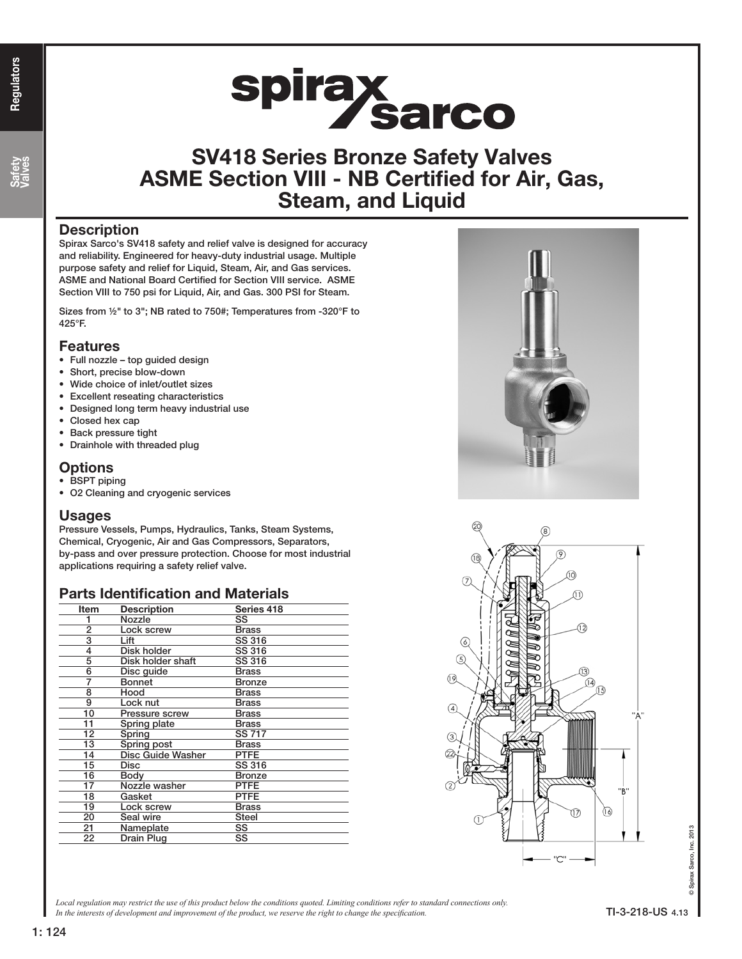Safety Valves

# spirax<br>Sarco

# SV418 Series Bronze Safety Valves ASME Section VIII - NB Certified for Air, Gas, Steam, and Liquid

#### **Description**

Spirax Sarco's SV418 safety and relief valve is designed for accuracy and reliability. Engineered for heavy-duty industrial usage. Multiple purpose safety and relief for Liquid, Steam, Air, and Gas services. ASME and National Board Certified for Section VIII service. ASME Section VIII to 750 psi for Liquid, Air, and Gas. 300 PSI for Steam.

Sizes from ½" to 3"; NB rated to 750#; Temperatures from -320°F to 425°F.

#### Features

- Full nozzle top guided design
- Short, precise blow-down
- Wide choice of inlet/outlet sizes
- **Excellent reseating characteristics**
- Designed long term heavy industrial use
- Closed hex cap
- Back pressure tight
- Drainhole with threaded plug

#### **Options**

- BSPT piping
- O2 Cleaning and cryogenic services

#### Usages

Pressure Vessels, Pumps, Hydraulics, Tanks, Steam Systems, Chemical, Cryogenic, Air and Gas Compressors, Separators, by-pass and over pressure protection. Choose for most industrial applications requiring a safety relief valve.

#### Parts Identification and Materials

| Item | <b>Description</b> | Series 418    |
|------|--------------------|---------------|
|      | Nozzle             | SS            |
| 2    | Lock screw         | <b>Brass</b>  |
| 3    | Lift               | SS 316        |
| 4    | Disk holder        | SS 316        |
| 5    | Disk holder shaft  | SS 316        |
| 6    | Disc quide         | Brass         |
| 7    | Bonnet             | Bronze        |
| 8    | Hood               | <b>Brass</b>  |
| 9    | Lock nut           | Brass         |
| 10   | Pressure screw     | <b>Brass</b>  |
| 11   | Spring plate       | <b>Brass</b>  |
| 12   | Spring             | <b>SS 717</b> |
| 13   | Spring post        | <b>Brass</b>  |
| 14   | Disc Guide Washer  | <b>PTFE</b>   |
| 15   | Disc               | SS 316        |
| 16   | Bodv               | <b>Bronze</b> |
| 17   | Nozzle washer      | PTFE          |
| 18   | Gasket             | PTFE          |
| 19   | Lock screw         | <b>Brass</b>  |
| 20   | Seal wire          | <b>Steel</b>  |
| 21   | Nameplate          | SS            |
| 22   | Drain Plug         | SS            |





*Local regulation may restrict the use of this product below the conditions quoted. Limiting conditions refer to standard connections only.* In the interests of development and improvement of the product, we reserve the right to change the specification.

Spirax Sarco, Inc. 2013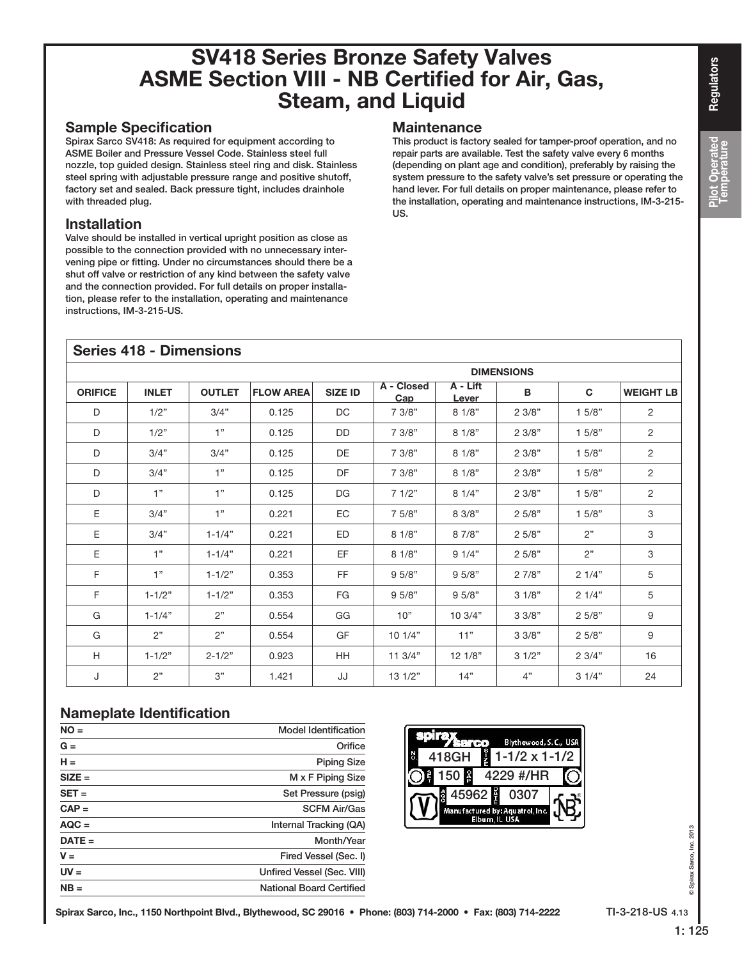## Sample Specification

Spirax Sarco SV418: As required for equipment according to ASME Boiler and Pressure Vessel Code. Stainless steel full nozzle, top guided design. Stainless steel ring and disk. Stainless steel spring with adjustable pressure range and positive shutoff, factory set and sealed. Back pressure tight, includes drainhole with threaded plug.

## Installation

Valve should be installed in vertical upright position as close as possible to the connection provided with no unnecessary intervening pipe or fitting. Under no circumstances should there be a shut off valve or restriction of any kind between the safety valve and the connection provided. For full details on proper installation, please refer to the installation, operating and maintenance instructions, IM-3-215-US.

## **Maintenance**

This product is factory sealed for tamper-proof operation, and no repair parts are available. Test the safety valve every 6 months (depending on plant age and condition), preferably by raising the system pressure to the safety valve's set pressure or operating the hand lever. For full details on proper maintenance, please refer to the installation, operating and maintenance instructions, IM-3-215- US.

| <b>Series 418 - Dimensions</b> |              |               |                  |                |                   |                   |       |        |                  |  |  |
|--------------------------------|--------------|---------------|------------------|----------------|-------------------|-------------------|-------|--------|------------------|--|--|
|                                |              |               |                  |                | <b>DIMENSIONS</b> |                   |       |        |                  |  |  |
| <b>ORIFICE</b>                 | <b>INLET</b> | <b>OUTLET</b> | <b>FLOW AREA</b> | <b>SIZE ID</b> | A - Closed<br>Cap | A - Lift<br>Lever | B     | C.     | <b>WEIGHT LB</b> |  |  |
| D                              | 1/2"         | 3/4"          | 0.125            | DC             | 7 3/8"            | 81/8"             | 23/8" | 15/8"  | 2                |  |  |
| D                              | 1/2"         | 1"            | 0.125            | DD.            | 7 3/8"            | 81/8"             | 23/8" | 1.5/8" | 2                |  |  |
| D                              | 3/4"         | 3/4"          | 0.125            | DE             | 7 3/8"            | 81/8"             | 23/8" | 1.5/8" | 2                |  |  |
| D                              | 3/4"         | 1"            | 0.125            | DF             | 7 3/8"            | 81/8"             | 23/8" | 1.5/8" | 2                |  |  |
| D                              | 1"           | 1"            | 0.125            | <b>DG</b>      | 71/2"             | 81/4"             | 23/8" | 1.5/8" | 2                |  |  |
| E                              | 3/4"         | 1"            | 0.221            | EC             | 7 5/8"            | 8 3/8"            | 25/8" | 1.5/8" | 3                |  |  |
| Ε                              | 3/4"         | $1 - 1/4"$    | 0.221            | ED             | 81/8"             | 8 7/8"            | 25/8" | 2"     | 3                |  |  |
| E                              | 1"           | $1 - 1/4"$    | 0.221            | EF             | 81/8"             | 91/4"             | 25/8" | 2"     | 3                |  |  |
| F                              | 1"           | $1 - 1/2"$    | 0.353            | <b>FF</b>      | 95/8"             | 9.5/8"            | 27/8" | 21/4"  | 5                |  |  |
| F.                             | $1 - 1/2"$   | $1 - 1/2"$    | 0.353            | <b>FG</b>      | 9.5/8"            | 9.5/8"            | 31/8" | 21/4"  | 5                |  |  |
| G                              | $1 - 1/4"$   | 2"            | 0.554            | GG             | 10"               | 10.3/4"           | 33/8" | 25/8"  | 9                |  |  |
| G                              | 2"           | 2"            | 0.554            | GF             | 101/4"            | 11"               | 33/8" | 25/8"  | 9                |  |  |
| H                              | $1 - 1/2"$   | $2 - 1/2"$    | 0.923            | <b>HH</b>      | 11.3/4"           | 121/8"            | 31/2" | 2.3/4" | 16               |  |  |
| J                              | 2"           | 3"            | 1.421            | JJ             | 131/2"            | 14"               | 4"    | 31/4"  | 24               |  |  |

## Nameplate Identification

| $NO =$   | <b>Model Identification</b>     |  |  |  |
|----------|---------------------------------|--|--|--|
| $G =$    | Orifice                         |  |  |  |
| $H =$    | <b>Piping Size</b>              |  |  |  |
| $SIZE =$ | M x F Piping Size               |  |  |  |
| $SET =$  | Set Pressure (psig)             |  |  |  |
| $CAP =$  | <b>SCFM Air/Gas</b>             |  |  |  |
| $AQC =$  | Internal Tracking (QA)          |  |  |  |
| $DATE =$ | Month/Year                      |  |  |  |
| $V =$    | Fired Vessel (Sec. I)           |  |  |  |
| $UV =$   | Unfired Vessel (Sec. VIII)      |  |  |  |
| $NB =$   | <b>National Board Certified</b> |  |  |  |



1: 125

© Spirax Sarco, Inc. 2013

Spirax Sarco, Inc. 2013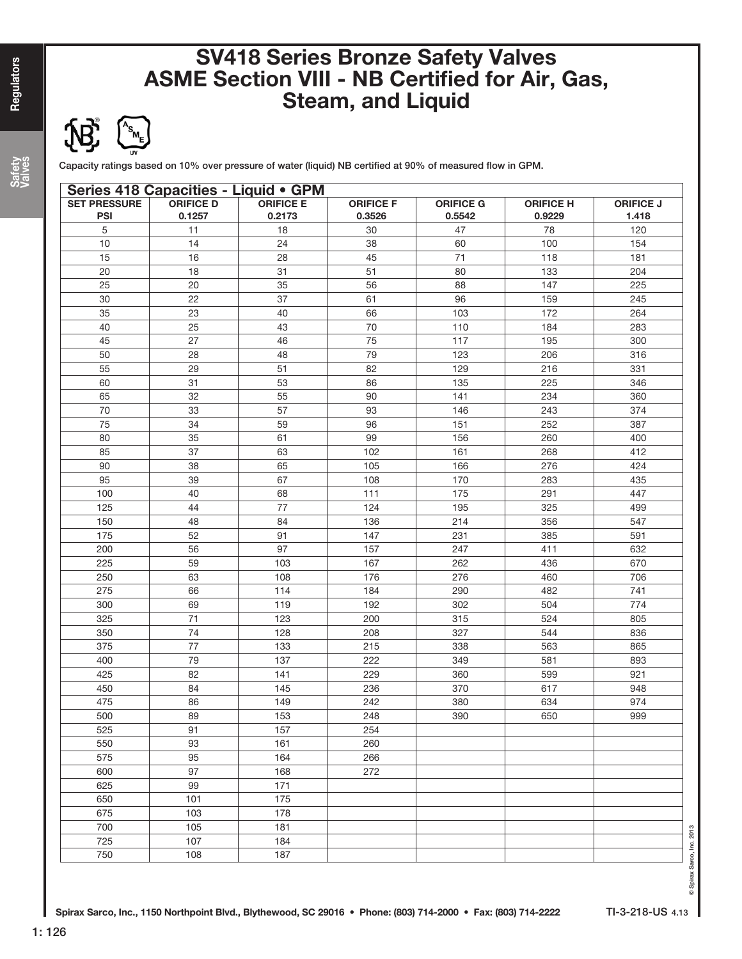

Capacity ratings based on 10% over pressure of water (liquid) NB certified at 90% of measured flow in GPM.

|                                   |                            | Series 418 Capacities - Liquid . GPM |                            |                            |                            |                           |
|-----------------------------------|----------------------------|--------------------------------------|----------------------------|----------------------------|----------------------------|---------------------------|
| <b>SET PRESSURE</b><br><b>PSI</b> | <b>ORIFICE D</b><br>0.1257 | <b>ORIFICE E</b><br>0.2173           | <b>ORIFICE F</b><br>0.3526 | <b>ORIFICE G</b><br>0.5542 | <b>ORIFICE H</b><br>0.9229 | <b>ORIFICE J</b><br>1.418 |
| 5                                 | 11                         | 18                                   | 30                         | 47                         | 78                         | 120                       |
| 10                                | 14                         | 24                                   | 38                         | 60                         | 100                        | 154                       |
| 15                                | 16                         | 28                                   | 45                         | 71                         | 118                        | 181                       |
| 20                                | 18                         | 31                                   | 51                         | 80                         | 133                        | 204                       |
| 25                                | 20                         | 35                                   | 56                         | 88                         | 147                        | 225                       |
|                                   | 22                         | 37                                   | 61                         | 96                         |                            | 245                       |
| 30                                |                            |                                      |                            |                            | 159                        |                           |
| 35                                | 23                         | 40                                   | 66                         | 103                        | 172                        | 264                       |
| 40                                | 25                         | 43                                   | 70                         | 110                        | 184                        | 283                       |
| 45                                | 27                         | 46                                   | 75                         | 117                        | 195                        | 300                       |
| 50                                | 28                         | 48                                   | 79                         | 123                        | 206                        | 316                       |
| 55                                | 29                         | 51                                   | 82                         | 129                        | 216                        | 331                       |
| 60                                | 31                         | 53                                   | 86                         | 135                        | 225                        | 346                       |
| 65                                | 32                         | 55                                   | 90                         | 141                        | 234                        | 360                       |
| 70                                | 33                         | 57                                   | 93                         | 146                        | 243                        | 374                       |
| 75                                | 34                         | 59                                   | 96                         | 151                        | 252                        | 387                       |
| 80                                | 35                         | 61                                   | 99                         | 156                        | 260                        | 400                       |
| 85                                | 37                         | 63                                   | 102                        | 161                        | 268                        | 412                       |
| 90                                | 38                         | 65                                   | 105                        | 166                        | 276                        | 424                       |
| 95                                | 39                         | 67                                   | 108                        | 170                        | 283                        | 435                       |
| 100                               | 40                         | 68                                   | 111                        | $\frac{175}{175}$          | 291                        | 447                       |
| 125                               | 44                         | 77                                   | 124                        | 195                        | 325                        | 499                       |
| 150                               | 48                         | 84                                   | 136                        | 214                        | 356                        | 547                       |
| 175                               | 52                         | 91                                   | 147                        | 231                        | 385                        | 591                       |
| 200                               | 56                         | 97                                   | 157                        | 247                        | 411                        | 632                       |
| 225                               | 59                         | 103                                  | 167                        | 262                        | 436                        | 670                       |
| 250                               | 63                         | 108                                  | 176                        | 276                        | 460                        | 706                       |
| 275                               | 66                         | 114                                  | 184                        | 290                        | 482                        | 741                       |
| 300                               | 69                         | 119                                  | 192                        | 302                        | 504                        | 774                       |
| 325                               | 71                         | 123                                  | 200                        | 315                        | 524                        | 805                       |
| 350                               | 74                         | 128                                  | 208                        | 327                        | 544                        | 836                       |
|                                   | 77                         |                                      |                            |                            |                            |                           |
| 375                               |                            | 133                                  | 215                        | 338                        | 563                        | 865                       |
| 400                               | 79                         | 137                                  | 222                        | 349                        | 581                        | 893                       |
| 425                               | 82                         | 141                                  | 229                        | 360                        | 599                        | 921                       |
| 450                               | 84                         | 145                                  | 236                        | 370                        | 617                        | 948                       |
| 475                               | 86                         | 149                                  | 242                        | 380                        | 634                        | 974                       |
| 500                               | 89                         | 153                                  | 248                        | 390                        | 650                        | 999                       |
| 525                               | 91                         | 157                                  | 254                        |                            |                            |                           |
| 550                               | 93                         | 161                                  | 260                        |                            |                            |                           |
| 575                               | 95                         | 164                                  | 266                        |                            |                            |                           |
| 600                               | 97                         | 168                                  | 272                        |                            |                            |                           |
| 625                               | 99                         | 171                                  |                            |                            |                            |                           |
| 650                               | 101                        | 175                                  |                            |                            |                            |                           |
| 675                               | 103                        | 178                                  |                            |                            |                            |                           |
| 700                               | 105                        | 181                                  |                            |                            |                            |                           |
| 725                               | 107                        | 184                                  |                            |                            |                            |                           |
| 750                               | 108                        | 187                                  |                            |                            |                            |                           |

Safety<br>Valves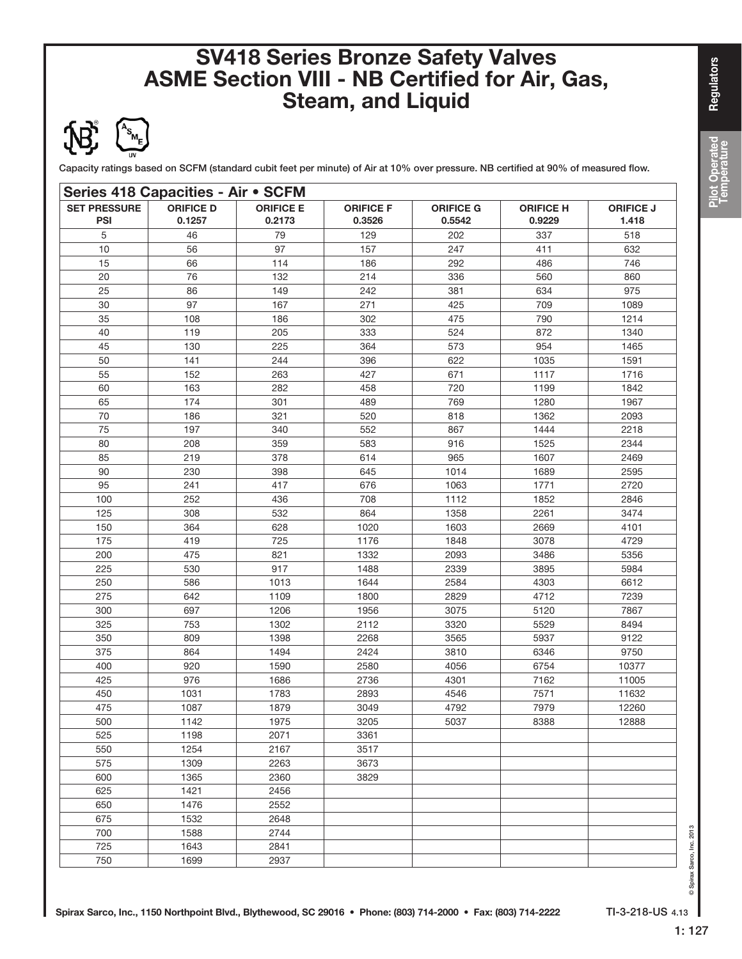

Capacity ratings based on SCFM (standard cubit feet per minute) of Air at 10% over pressure. NB certified at 90% of measured flow.

| <b>SET PRESSURE</b><br><b>ORIFICE D</b><br><b>ORIFICE E</b><br><b>ORIFICE F</b><br><b>ORIFICE G</b><br><b>ORIFICE H</b><br><b>ORIFICE J</b><br><b>PSI</b><br>0.1257<br>0.2173<br>0.3526<br>0.5542<br>0.9229<br>1.418<br>5<br>79<br>518<br>46<br>129<br>202<br>337<br>10<br>97<br>157<br>247<br>411<br>632<br>56<br>15<br>114<br>186<br>292<br>486<br>746<br>66<br>20<br>76<br>132<br>214<br>560<br>336<br>860<br>25<br>149<br>242<br>381<br>634<br>975<br>86<br>30<br>167<br>709<br>97<br>271<br>425<br>1089<br>35<br>790<br>108<br>186<br>302<br>475<br>1214<br>40<br>205<br>872<br>119<br>333<br>524<br>1340<br>45<br>130<br>225<br>364<br>573<br>954<br>1465<br>50<br>141<br>244<br>396<br>622<br>1035<br>1591<br>55<br>671<br>152<br>263<br>427<br>1117<br>1716<br>60<br>163<br>282<br>458<br>720<br>1199<br>1842<br>65<br>174<br>769<br>301<br>489<br>1280<br>1967<br>70<br>321<br>818<br>186<br>520<br>1362<br>2093<br>75<br>197<br>340<br>552<br>867<br>1444<br>2218<br>80<br>359<br>208<br>583<br>916<br>1525<br>2344<br>85<br>378<br>965<br>219<br>614<br>1607<br>2469<br>90<br>645<br>2595<br>230<br>398<br>1014<br>1689<br>95<br>417<br>676<br>1063<br>1771<br>2720<br>241<br>100<br>252<br>436<br>708<br>1112<br>1852<br>2846<br>3474<br>125<br>308<br>532<br>864<br>1358<br>2261<br>150<br>364<br>628<br>1020<br>1603<br>2669<br>4101<br>175<br>419<br>725<br>1176<br>1848<br>3078<br>4729<br>200<br>475<br>821<br>1332<br>2093<br>5356<br>3486<br>225<br>917<br>530<br>1488<br>2339<br>3895<br>5984<br>250<br>586<br>1013<br>1644<br>2584<br>4303<br>6612<br>275<br>642<br>1109<br>1800<br>2829<br>4712<br>7239<br>300<br>697<br>1206<br>3075<br>5120<br>7867<br>1956<br>325<br>753<br>1302<br>2112<br>3320<br>5529<br>8494<br>9122<br>350<br>809<br>1398<br>3565<br>5937<br>2268<br>375<br>864<br>1494<br>2424<br>3810<br>6346<br>9750<br>400<br>920<br>1590<br>2580<br>4056<br>6754<br>10377<br>425<br>976<br>1686<br>2736<br>4301<br>7162<br>11005<br>450<br>1031<br>1783<br>2893<br>4546<br>7571<br>11632<br>475<br>1087<br>1879<br>3049<br>4792<br>7979<br>12260<br>1975<br>5037<br>500<br>1142<br>3205<br>8388<br>12888<br>525<br>2071<br>3361<br>1198<br>1254<br>2167<br>550<br>3517<br>2263<br>575<br>1309<br>3673<br>600<br>1365<br>2360<br>3829<br>625<br>1421<br>2456<br>2552<br>650<br>1476<br>1532<br>2648<br>675<br>700<br>1588<br>2744<br>725<br>1643<br>2841<br>750<br>1699<br>2937 | Series 418 Capacities - Air . SCFM |  |  |  |  |  |  |  |  |
|-------------------------------------------------------------------------------------------------------------------------------------------------------------------------------------------------------------------------------------------------------------------------------------------------------------------------------------------------------------------------------------------------------------------------------------------------------------------------------------------------------------------------------------------------------------------------------------------------------------------------------------------------------------------------------------------------------------------------------------------------------------------------------------------------------------------------------------------------------------------------------------------------------------------------------------------------------------------------------------------------------------------------------------------------------------------------------------------------------------------------------------------------------------------------------------------------------------------------------------------------------------------------------------------------------------------------------------------------------------------------------------------------------------------------------------------------------------------------------------------------------------------------------------------------------------------------------------------------------------------------------------------------------------------------------------------------------------------------------------------------------------------------------------------------------------------------------------------------------------------------------------------------------------------------------------------------------------------------------------------------------------------------------------------------------------------------------------------------------------------------------------------------------------------------------------------------------------------------------------------------------------------------------------------------------------------------------------------------------------------------------------------------------------------|------------------------------------|--|--|--|--|--|--|--|--|
|                                                                                                                                                                                                                                                                                                                                                                                                                                                                                                                                                                                                                                                                                                                                                                                                                                                                                                                                                                                                                                                                                                                                                                                                                                                                                                                                                                                                                                                                                                                                                                                                                                                                                                                                                                                                                                                                                                                                                                                                                                                                                                                                                                                                                                                                                                                                                                                                                   |                                    |  |  |  |  |  |  |  |  |
|                                                                                                                                                                                                                                                                                                                                                                                                                                                                                                                                                                                                                                                                                                                                                                                                                                                                                                                                                                                                                                                                                                                                                                                                                                                                                                                                                                                                                                                                                                                                                                                                                                                                                                                                                                                                                                                                                                                                                                                                                                                                                                                                                                                                                                                                                                                                                                                                                   |                                    |  |  |  |  |  |  |  |  |
|                                                                                                                                                                                                                                                                                                                                                                                                                                                                                                                                                                                                                                                                                                                                                                                                                                                                                                                                                                                                                                                                                                                                                                                                                                                                                                                                                                                                                                                                                                                                                                                                                                                                                                                                                                                                                                                                                                                                                                                                                                                                                                                                                                                                                                                                                                                                                                                                                   |                                    |  |  |  |  |  |  |  |  |
|                                                                                                                                                                                                                                                                                                                                                                                                                                                                                                                                                                                                                                                                                                                                                                                                                                                                                                                                                                                                                                                                                                                                                                                                                                                                                                                                                                                                                                                                                                                                                                                                                                                                                                                                                                                                                                                                                                                                                                                                                                                                                                                                                                                                                                                                                                                                                                                                                   |                                    |  |  |  |  |  |  |  |  |
|                                                                                                                                                                                                                                                                                                                                                                                                                                                                                                                                                                                                                                                                                                                                                                                                                                                                                                                                                                                                                                                                                                                                                                                                                                                                                                                                                                                                                                                                                                                                                                                                                                                                                                                                                                                                                                                                                                                                                                                                                                                                                                                                                                                                                                                                                                                                                                                                                   |                                    |  |  |  |  |  |  |  |  |
|                                                                                                                                                                                                                                                                                                                                                                                                                                                                                                                                                                                                                                                                                                                                                                                                                                                                                                                                                                                                                                                                                                                                                                                                                                                                                                                                                                                                                                                                                                                                                                                                                                                                                                                                                                                                                                                                                                                                                                                                                                                                                                                                                                                                                                                                                                                                                                                                                   |                                    |  |  |  |  |  |  |  |  |
|                                                                                                                                                                                                                                                                                                                                                                                                                                                                                                                                                                                                                                                                                                                                                                                                                                                                                                                                                                                                                                                                                                                                                                                                                                                                                                                                                                                                                                                                                                                                                                                                                                                                                                                                                                                                                                                                                                                                                                                                                                                                                                                                                                                                                                                                                                                                                                                                                   |                                    |  |  |  |  |  |  |  |  |
|                                                                                                                                                                                                                                                                                                                                                                                                                                                                                                                                                                                                                                                                                                                                                                                                                                                                                                                                                                                                                                                                                                                                                                                                                                                                                                                                                                                                                                                                                                                                                                                                                                                                                                                                                                                                                                                                                                                                                                                                                                                                                                                                                                                                                                                                                                                                                                                                                   |                                    |  |  |  |  |  |  |  |  |
|                                                                                                                                                                                                                                                                                                                                                                                                                                                                                                                                                                                                                                                                                                                                                                                                                                                                                                                                                                                                                                                                                                                                                                                                                                                                                                                                                                                                                                                                                                                                                                                                                                                                                                                                                                                                                                                                                                                                                                                                                                                                                                                                                                                                                                                                                                                                                                                                                   |                                    |  |  |  |  |  |  |  |  |
|                                                                                                                                                                                                                                                                                                                                                                                                                                                                                                                                                                                                                                                                                                                                                                                                                                                                                                                                                                                                                                                                                                                                                                                                                                                                                                                                                                                                                                                                                                                                                                                                                                                                                                                                                                                                                                                                                                                                                                                                                                                                                                                                                                                                                                                                                                                                                                                                                   |                                    |  |  |  |  |  |  |  |  |
|                                                                                                                                                                                                                                                                                                                                                                                                                                                                                                                                                                                                                                                                                                                                                                                                                                                                                                                                                                                                                                                                                                                                                                                                                                                                                                                                                                                                                                                                                                                                                                                                                                                                                                                                                                                                                                                                                                                                                                                                                                                                                                                                                                                                                                                                                                                                                                                                                   |                                    |  |  |  |  |  |  |  |  |
|                                                                                                                                                                                                                                                                                                                                                                                                                                                                                                                                                                                                                                                                                                                                                                                                                                                                                                                                                                                                                                                                                                                                                                                                                                                                                                                                                                                                                                                                                                                                                                                                                                                                                                                                                                                                                                                                                                                                                                                                                                                                                                                                                                                                                                                                                                                                                                                                                   |                                    |  |  |  |  |  |  |  |  |
|                                                                                                                                                                                                                                                                                                                                                                                                                                                                                                                                                                                                                                                                                                                                                                                                                                                                                                                                                                                                                                                                                                                                                                                                                                                                                                                                                                                                                                                                                                                                                                                                                                                                                                                                                                                                                                                                                                                                                                                                                                                                                                                                                                                                                                                                                                                                                                                                                   |                                    |  |  |  |  |  |  |  |  |
|                                                                                                                                                                                                                                                                                                                                                                                                                                                                                                                                                                                                                                                                                                                                                                                                                                                                                                                                                                                                                                                                                                                                                                                                                                                                                                                                                                                                                                                                                                                                                                                                                                                                                                                                                                                                                                                                                                                                                                                                                                                                                                                                                                                                                                                                                                                                                                                                                   |                                    |  |  |  |  |  |  |  |  |
|                                                                                                                                                                                                                                                                                                                                                                                                                                                                                                                                                                                                                                                                                                                                                                                                                                                                                                                                                                                                                                                                                                                                                                                                                                                                                                                                                                                                                                                                                                                                                                                                                                                                                                                                                                                                                                                                                                                                                                                                                                                                                                                                                                                                                                                                                                                                                                                                                   |                                    |  |  |  |  |  |  |  |  |
|                                                                                                                                                                                                                                                                                                                                                                                                                                                                                                                                                                                                                                                                                                                                                                                                                                                                                                                                                                                                                                                                                                                                                                                                                                                                                                                                                                                                                                                                                                                                                                                                                                                                                                                                                                                                                                                                                                                                                                                                                                                                                                                                                                                                                                                                                                                                                                                                                   |                                    |  |  |  |  |  |  |  |  |
|                                                                                                                                                                                                                                                                                                                                                                                                                                                                                                                                                                                                                                                                                                                                                                                                                                                                                                                                                                                                                                                                                                                                                                                                                                                                                                                                                                                                                                                                                                                                                                                                                                                                                                                                                                                                                                                                                                                                                                                                                                                                                                                                                                                                                                                                                                                                                                                                                   |                                    |  |  |  |  |  |  |  |  |
|                                                                                                                                                                                                                                                                                                                                                                                                                                                                                                                                                                                                                                                                                                                                                                                                                                                                                                                                                                                                                                                                                                                                                                                                                                                                                                                                                                                                                                                                                                                                                                                                                                                                                                                                                                                                                                                                                                                                                                                                                                                                                                                                                                                                                                                                                                                                                                                                                   |                                    |  |  |  |  |  |  |  |  |
|                                                                                                                                                                                                                                                                                                                                                                                                                                                                                                                                                                                                                                                                                                                                                                                                                                                                                                                                                                                                                                                                                                                                                                                                                                                                                                                                                                                                                                                                                                                                                                                                                                                                                                                                                                                                                                                                                                                                                                                                                                                                                                                                                                                                                                                                                                                                                                                                                   |                                    |  |  |  |  |  |  |  |  |
|                                                                                                                                                                                                                                                                                                                                                                                                                                                                                                                                                                                                                                                                                                                                                                                                                                                                                                                                                                                                                                                                                                                                                                                                                                                                                                                                                                                                                                                                                                                                                                                                                                                                                                                                                                                                                                                                                                                                                                                                                                                                                                                                                                                                                                                                                                                                                                                                                   |                                    |  |  |  |  |  |  |  |  |
|                                                                                                                                                                                                                                                                                                                                                                                                                                                                                                                                                                                                                                                                                                                                                                                                                                                                                                                                                                                                                                                                                                                                                                                                                                                                                                                                                                                                                                                                                                                                                                                                                                                                                                                                                                                                                                                                                                                                                                                                                                                                                                                                                                                                                                                                                                                                                                                                                   |                                    |  |  |  |  |  |  |  |  |
|                                                                                                                                                                                                                                                                                                                                                                                                                                                                                                                                                                                                                                                                                                                                                                                                                                                                                                                                                                                                                                                                                                                                                                                                                                                                                                                                                                                                                                                                                                                                                                                                                                                                                                                                                                                                                                                                                                                                                                                                                                                                                                                                                                                                                                                                                                                                                                                                                   |                                    |  |  |  |  |  |  |  |  |
|                                                                                                                                                                                                                                                                                                                                                                                                                                                                                                                                                                                                                                                                                                                                                                                                                                                                                                                                                                                                                                                                                                                                                                                                                                                                                                                                                                                                                                                                                                                                                                                                                                                                                                                                                                                                                                                                                                                                                                                                                                                                                                                                                                                                                                                                                                                                                                                                                   |                                    |  |  |  |  |  |  |  |  |
|                                                                                                                                                                                                                                                                                                                                                                                                                                                                                                                                                                                                                                                                                                                                                                                                                                                                                                                                                                                                                                                                                                                                                                                                                                                                                                                                                                                                                                                                                                                                                                                                                                                                                                                                                                                                                                                                                                                                                                                                                                                                                                                                                                                                                                                                                                                                                                                                                   |                                    |  |  |  |  |  |  |  |  |
|                                                                                                                                                                                                                                                                                                                                                                                                                                                                                                                                                                                                                                                                                                                                                                                                                                                                                                                                                                                                                                                                                                                                                                                                                                                                                                                                                                                                                                                                                                                                                                                                                                                                                                                                                                                                                                                                                                                                                                                                                                                                                                                                                                                                                                                                                                                                                                                                                   |                                    |  |  |  |  |  |  |  |  |
|                                                                                                                                                                                                                                                                                                                                                                                                                                                                                                                                                                                                                                                                                                                                                                                                                                                                                                                                                                                                                                                                                                                                                                                                                                                                                                                                                                                                                                                                                                                                                                                                                                                                                                                                                                                                                                                                                                                                                                                                                                                                                                                                                                                                                                                                                                                                                                                                                   |                                    |  |  |  |  |  |  |  |  |
|                                                                                                                                                                                                                                                                                                                                                                                                                                                                                                                                                                                                                                                                                                                                                                                                                                                                                                                                                                                                                                                                                                                                                                                                                                                                                                                                                                                                                                                                                                                                                                                                                                                                                                                                                                                                                                                                                                                                                                                                                                                                                                                                                                                                                                                                                                                                                                                                                   |                                    |  |  |  |  |  |  |  |  |
|                                                                                                                                                                                                                                                                                                                                                                                                                                                                                                                                                                                                                                                                                                                                                                                                                                                                                                                                                                                                                                                                                                                                                                                                                                                                                                                                                                                                                                                                                                                                                                                                                                                                                                                                                                                                                                                                                                                                                                                                                                                                                                                                                                                                                                                                                                                                                                                                                   |                                    |  |  |  |  |  |  |  |  |
|                                                                                                                                                                                                                                                                                                                                                                                                                                                                                                                                                                                                                                                                                                                                                                                                                                                                                                                                                                                                                                                                                                                                                                                                                                                                                                                                                                                                                                                                                                                                                                                                                                                                                                                                                                                                                                                                                                                                                                                                                                                                                                                                                                                                                                                                                                                                                                                                                   |                                    |  |  |  |  |  |  |  |  |
|                                                                                                                                                                                                                                                                                                                                                                                                                                                                                                                                                                                                                                                                                                                                                                                                                                                                                                                                                                                                                                                                                                                                                                                                                                                                                                                                                                                                                                                                                                                                                                                                                                                                                                                                                                                                                                                                                                                                                                                                                                                                                                                                                                                                                                                                                                                                                                                                                   |                                    |  |  |  |  |  |  |  |  |
|                                                                                                                                                                                                                                                                                                                                                                                                                                                                                                                                                                                                                                                                                                                                                                                                                                                                                                                                                                                                                                                                                                                                                                                                                                                                                                                                                                                                                                                                                                                                                                                                                                                                                                                                                                                                                                                                                                                                                                                                                                                                                                                                                                                                                                                                                                                                                                                                                   |                                    |  |  |  |  |  |  |  |  |
|                                                                                                                                                                                                                                                                                                                                                                                                                                                                                                                                                                                                                                                                                                                                                                                                                                                                                                                                                                                                                                                                                                                                                                                                                                                                                                                                                                                                                                                                                                                                                                                                                                                                                                                                                                                                                                                                                                                                                                                                                                                                                                                                                                                                                                                                                                                                                                                                                   |                                    |  |  |  |  |  |  |  |  |
|                                                                                                                                                                                                                                                                                                                                                                                                                                                                                                                                                                                                                                                                                                                                                                                                                                                                                                                                                                                                                                                                                                                                                                                                                                                                                                                                                                                                                                                                                                                                                                                                                                                                                                                                                                                                                                                                                                                                                                                                                                                                                                                                                                                                                                                                                                                                                                                                                   |                                    |  |  |  |  |  |  |  |  |
|                                                                                                                                                                                                                                                                                                                                                                                                                                                                                                                                                                                                                                                                                                                                                                                                                                                                                                                                                                                                                                                                                                                                                                                                                                                                                                                                                                                                                                                                                                                                                                                                                                                                                                                                                                                                                                                                                                                                                                                                                                                                                                                                                                                                                                                                                                                                                                                                                   |                                    |  |  |  |  |  |  |  |  |
|                                                                                                                                                                                                                                                                                                                                                                                                                                                                                                                                                                                                                                                                                                                                                                                                                                                                                                                                                                                                                                                                                                                                                                                                                                                                                                                                                                                                                                                                                                                                                                                                                                                                                                                                                                                                                                                                                                                                                                                                                                                                                                                                                                                                                                                                                                                                                                                                                   |                                    |  |  |  |  |  |  |  |  |
|                                                                                                                                                                                                                                                                                                                                                                                                                                                                                                                                                                                                                                                                                                                                                                                                                                                                                                                                                                                                                                                                                                                                                                                                                                                                                                                                                                                                                                                                                                                                                                                                                                                                                                                                                                                                                                                                                                                                                                                                                                                                                                                                                                                                                                                                                                                                                                                                                   |                                    |  |  |  |  |  |  |  |  |
|                                                                                                                                                                                                                                                                                                                                                                                                                                                                                                                                                                                                                                                                                                                                                                                                                                                                                                                                                                                                                                                                                                                                                                                                                                                                                                                                                                                                                                                                                                                                                                                                                                                                                                                                                                                                                                                                                                                                                                                                                                                                                                                                                                                                                                                                                                                                                                                                                   |                                    |  |  |  |  |  |  |  |  |
|                                                                                                                                                                                                                                                                                                                                                                                                                                                                                                                                                                                                                                                                                                                                                                                                                                                                                                                                                                                                                                                                                                                                                                                                                                                                                                                                                                                                                                                                                                                                                                                                                                                                                                                                                                                                                                                                                                                                                                                                                                                                                                                                                                                                                                                                                                                                                                                                                   |                                    |  |  |  |  |  |  |  |  |
|                                                                                                                                                                                                                                                                                                                                                                                                                                                                                                                                                                                                                                                                                                                                                                                                                                                                                                                                                                                                                                                                                                                                                                                                                                                                                                                                                                                                                                                                                                                                                                                                                                                                                                                                                                                                                                                                                                                                                                                                                                                                                                                                                                                                                                                                                                                                                                                                                   |                                    |  |  |  |  |  |  |  |  |
|                                                                                                                                                                                                                                                                                                                                                                                                                                                                                                                                                                                                                                                                                                                                                                                                                                                                                                                                                                                                                                                                                                                                                                                                                                                                                                                                                                                                                                                                                                                                                                                                                                                                                                                                                                                                                                                                                                                                                                                                                                                                                                                                                                                                                                                                                                                                                                                                                   |                                    |  |  |  |  |  |  |  |  |
|                                                                                                                                                                                                                                                                                                                                                                                                                                                                                                                                                                                                                                                                                                                                                                                                                                                                                                                                                                                                                                                                                                                                                                                                                                                                                                                                                                                                                                                                                                                                                                                                                                                                                                                                                                                                                                                                                                                                                                                                                                                                                                                                                                                                                                                                                                                                                                                                                   |                                    |  |  |  |  |  |  |  |  |
|                                                                                                                                                                                                                                                                                                                                                                                                                                                                                                                                                                                                                                                                                                                                                                                                                                                                                                                                                                                                                                                                                                                                                                                                                                                                                                                                                                                                                                                                                                                                                                                                                                                                                                                                                                                                                                                                                                                                                                                                                                                                                                                                                                                                                                                                                                                                                                                                                   |                                    |  |  |  |  |  |  |  |  |
|                                                                                                                                                                                                                                                                                                                                                                                                                                                                                                                                                                                                                                                                                                                                                                                                                                                                                                                                                                                                                                                                                                                                                                                                                                                                                                                                                                                                                                                                                                                                                                                                                                                                                                                                                                                                                                                                                                                                                                                                                                                                                                                                                                                                                                                                                                                                                                                                                   |                                    |  |  |  |  |  |  |  |  |
|                                                                                                                                                                                                                                                                                                                                                                                                                                                                                                                                                                                                                                                                                                                                                                                                                                                                                                                                                                                                                                                                                                                                                                                                                                                                                                                                                                                                                                                                                                                                                                                                                                                                                                                                                                                                                                                                                                                                                                                                                                                                                                                                                                                                                                                                                                                                                                                                                   |                                    |  |  |  |  |  |  |  |  |
|                                                                                                                                                                                                                                                                                                                                                                                                                                                                                                                                                                                                                                                                                                                                                                                                                                                                                                                                                                                                                                                                                                                                                                                                                                                                                                                                                                                                                                                                                                                                                                                                                                                                                                                                                                                                                                                                                                                                                                                                                                                                                                                                                                                                                                                                                                                                                                                                                   |                                    |  |  |  |  |  |  |  |  |
|                                                                                                                                                                                                                                                                                                                                                                                                                                                                                                                                                                                                                                                                                                                                                                                                                                                                                                                                                                                                                                                                                                                                                                                                                                                                                                                                                                                                                                                                                                                                                                                                                                                                                                                                                                                                                                                                                                                                                                                                                                                                                                                                                                                                                                                                                                                                                                                                                   |                                    |  |  |  |  |  |  |  |  |
|                                                                                                                                                                                                                                                                                                                                                                                                                                                                                                                                                                                                                                                                                                                                                                                                                                                                                                                                                                                                                                                                                                                                                                                                                                                                                                                                                                                                                                                                                                                                                                                                                                                                                                                                                                                                                                                                                                                                                                                                                                                                                                                                                                                                                                                                                                                                                                                                                   |                                    |  |  |  |  |  |  |  |  |

© Spirax Sarco, Inc. 2013

esins ©

Sarco, Inc. 2013